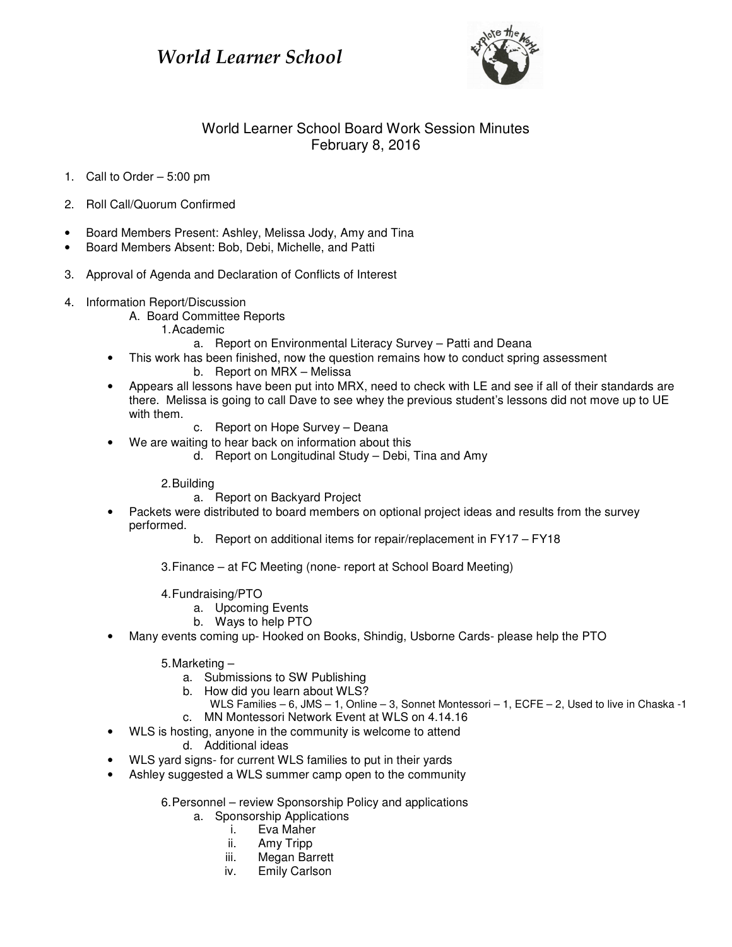## World Learner School



## World Learner School Board Work Session Minutes February 8, 2016

- 1. Call to Order 5:00 pm
- 2. Roll Call/Quorum Confirmed
- Board Members Present: Ashley, Melissa Jody, Amy and Tina
- Board Members Absent: Bob, Debi, Michelle, and Patti
- 3. Approval of Agenda and Declaration of Conflicts of Interest
- 4. Information Report/Discussion
	- A. Board Committee Reports 1. Academic
		- a. Report on Environmental Literacy Survey Patti and Deana
	- This work has been finished, now the question remains how to conduct spring assessment b. Report on MRX – Melissa
	- Appears all lessons have been put into MRX, need to check with LE and see if all of their standards are there. Melissa is going to call Dave to see whey the previous student's lessons did not move up to UE with them.
		- c. Report on Hope Survey Deana
	- We are waiting to hear back on information about this
		- d. Report on Longitudinal Study Debi, Tina and Amy

2. Building

- a. Report on Backyard Project
- Packets were distributed to board members on optional project ideas and results from the survey performed.
	- b. Report on additional items for repair/replacement in FY17 FY18
	- 3. Finance at FC Meeting (none- report at School Board Meeting)
	- 4. Fundraising/PTO
		- a. Upcoming Events
		- b. Ways to help PTO
- Many events coming up- Hooked on Books, Shindig, Usborne Cards- please help the PTO
	- 5. Marketing
		- a. Submissions to SW Publishing
		- b. How did you learn about WLS?
			- WLS Families 6, JMS 1, Online 3, Sonnet Montessori 1, ECFE 2, Used to live in Chaska -1
	- c. MN Montessori Network Event at WLS on 4.14.16 • WLS is hosting, anyone in the community is welcome to attend

d. Additional ideas

- WLS yard signs- for current WLS families to put in their yards
- Ashley suggested a WLS summer camp open to the community
	- 6. Personnel review Sponsorship Policy and applications
		- a. Sponsorship Applications
			- i. Eva Maher
			- ii. Amy Tripp
			- iii. Megan Barrett
			- iv. Emily Carlson